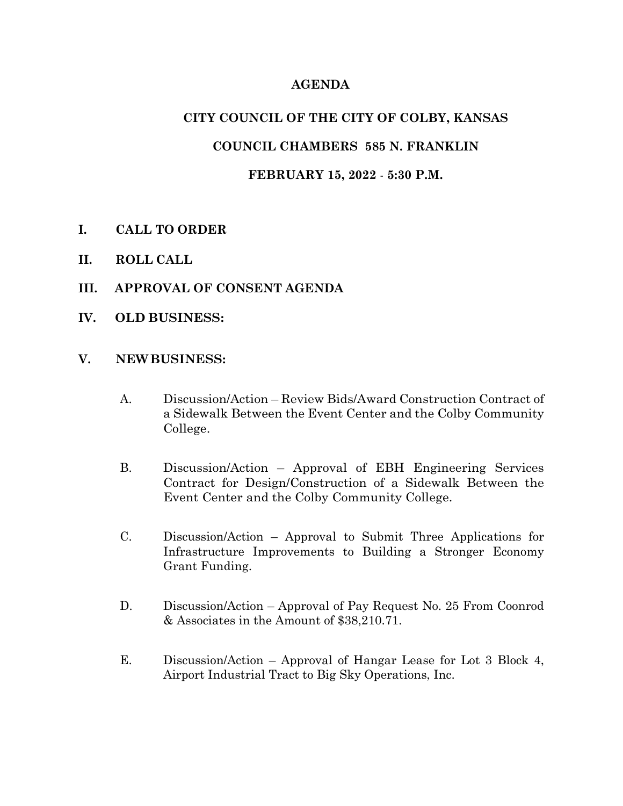### **AGENDA**

## **CITY COUNCIL OF THE CITY OF COLBY, KANSAS**

## **COUNCIL CHAMBERS 585 N. FRANKLIN**

### **FEBRUARY 15, 2022** - **5:30 P.M.**

- **I. CALL TO ORDER**
- **II. ROLL CALL**
- **III. APPROVAL OF CONSENT AGENDA**
- **IV. OLD BUSINESS:**

#### **V. NEWBUSINESS:**

- A. Discussion/Action Review Bids/Award Construction Contract of a Sidewalk Between the Event Center and the Colby Community College.
- B. Discussion/Action Approval of EBH Engineering Services Contract for Design/Construction of a Sidewalk Between the Event Center and the Colby Community College.
- C. Discussion/Action Approval to Submit Three Applications for Infrastructure Improvements to Building a Stronger Economy Grant Funding.
- D. Discussion/Action Approval of Pay Request No. 25 From Coonrod & Associates in the Amount of \$38,210.71.
- E. Discussion/Action Approval of Hangar Lease for Lot 3 Block 4, Airport Industrial Tract to Big Sky Operations, Inc.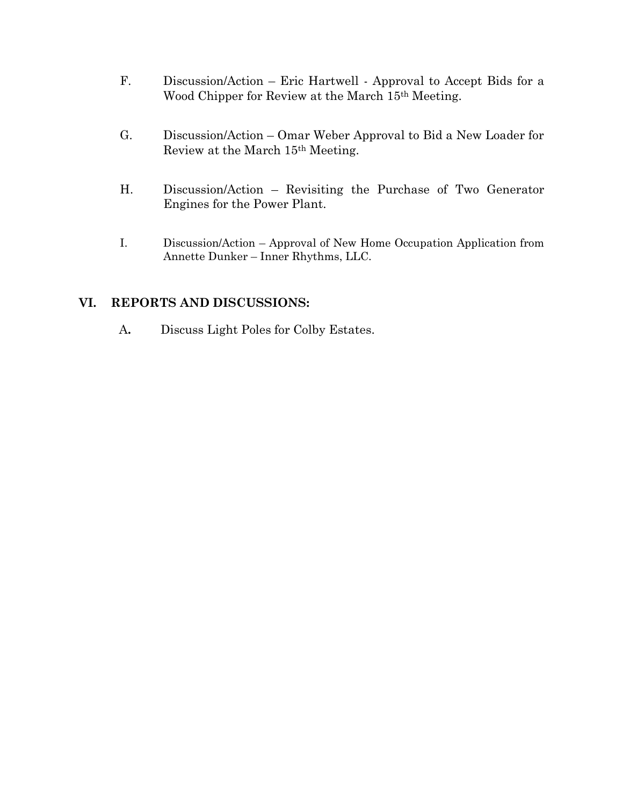- F. Discussion/Action Eric Hartwell Approval to Accept Bids for a Wood Chipper for Review at the March 15th Meeting.
- G. Discussion/Action Omar Weber Approval to Bid a New Loader for Review at the March 15th Meeting.
- H. Discussion/Action Revisiting the Purchase of Two Generator Engines for the Power Plant.
- I. Discussion/Action Approval of New Home Occupation Application from Annette Dunker – Inner Rhythms, LLC.

### **VI. REPORTS AND DISCUSSIONS:**

A**.** Discuss Light Poles for Colby Estates.